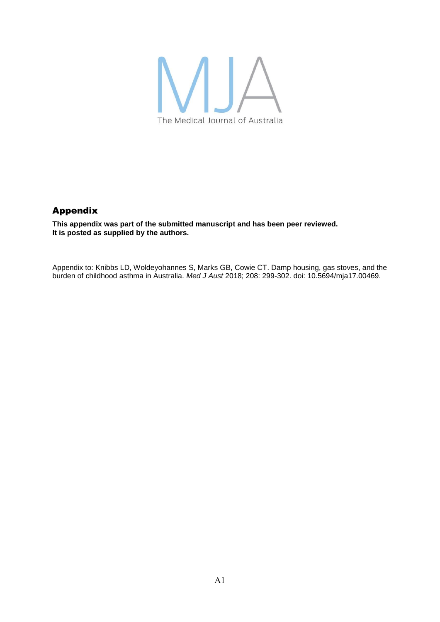

# Appendix

**This appendix was part of the submitted manuscript and has been peer reviewed. It is posted as supplied by the authors.**

Appendix to: Knibbs LD, Woldeyohannes S, Marks GB, Cowie CT. Damp housing, gas stoves, and the burden of childhood asthma in Australia. *Med J Aust* 2018; 208: 299-302. doi: 10.5694/mja17.00469.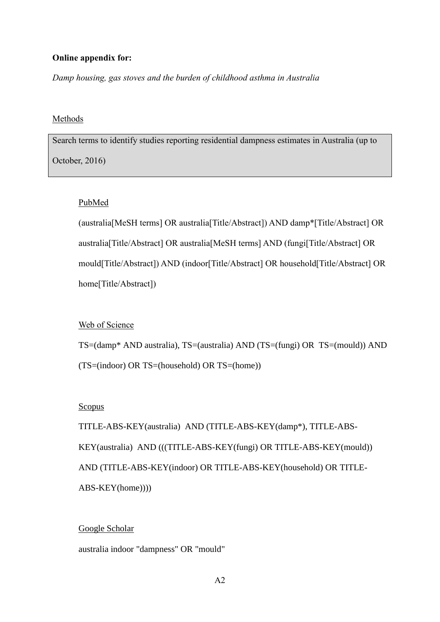## **Online appendix for:**

*Damp housing, gas stoves and the burden of childhood asthma in Australia*

#### Methods

Search terms to identify studies reporting residential dampness estimates in Australia (up to October, 2016)

#### PubMed

(australia[MeSH terms] OR australia[Title/Abstract]) AND damp\*[Title/Abstract] OR australia[Title/Abstract] OR australia[MeSH terms] AND (fungi[Title/Abstract] OR mould[Title/Abstract]) AND (indoor[Title/Abstract] OR household[Title/Abstract] OR home[Title/Abstract])

## Web of Science

TS=(damp\* AND australia), TS=(australia) AND (TS=(fungi) OR TS=(mould)) AND (TS=(indoor) OR TS=(household) OR TS=(home))

#### **Scopus**

TITLE-ABS-KEY(australia) AND (TITLE-ABS-KEY(damp\*), TITLE-ABS-KEY(australia) AND (((TITLE-ABS-KEY(fungi) OR TITLE-ABS-KEY(mould)) AND (TITLE-ABS-KEY(indoor) OR TITLE-ABS-KEY(household) OR TITLE-ABS-KEY(home))))

### Google Scholar

australia indoor "dampness" OR "mould"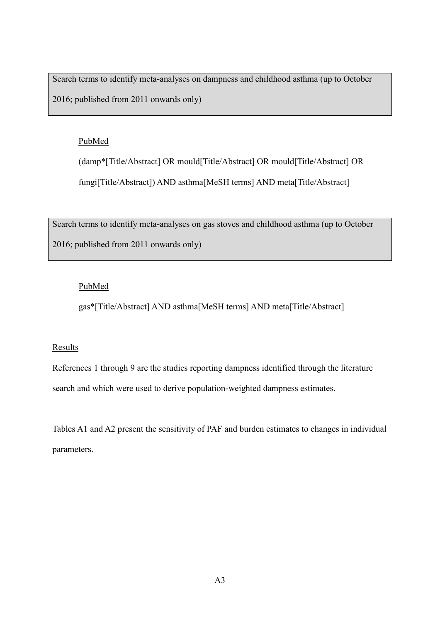Search terms to identify meta-analyses on dampness and childhood asthma (up to October 2016; published from 2011 onwards only)

## PubMed

(damp\*[Title/Abstract] OR mould[Title/Abstract] OR mould[Title/Abstract] OR fungi[Title/Abstract]) AND asthma[MeSH terms] AND meta[Title/Abstract]

Search terms to identify meta-analyses on gas stoves and childhood asthma (up to October 2016; published from 2011 onwards only)

## PubMed

gas\*[Title/Abstract] AND asthma[MeSH terms] AND meta[Title/Abstract]

## **Results**

References 1 through 9 are the studies reporting dampness identified through the literature search and which were used to derive population-weighted dampness estimates.

Tables A1 and A2 present the sensitivity of PAF and burden estimates to changes in individual parameters.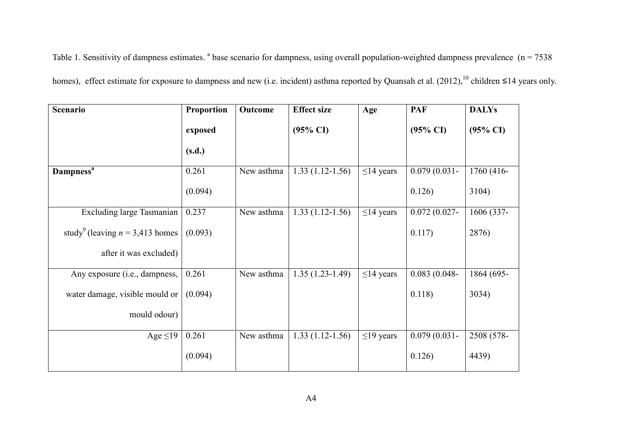Table 1. Sensitivity of dampness estimates.  $a^2$  base scenario for dampness, using overall population-weighted dampness prevalence ( $n = 7538$ ) homes), effect estimate for exposure to dampness and new (i.e. incident) asthma reported by Quansah et al.  $(2012)$ ,<sup>10</sup> children ≤14 years only.

| Scenario                                      | Proportion | Outcome    | <b>Effect size</b>  | Age             | <b>PAF</b>          | <b>DALYs</b>        |
|-----------------------------------------------|------------|------------|---------------------|-----------------|---------------------|---------------------|
|                                               | exposed    |            | $(95\% \text{ CI})$ |                 | $(95\% \text{ CI})$ | $(95\% \text{ CI})$ |
|                                               | (s.d.)     |            |                     |                 |                     |                     |
| <b>Dampness</b> <sup>a</sup>                  | 0.261      | New asthma | $1.33(1.12-1.56)$   | $\leq$ 14 years | $0.079(0.031 -$     | 1760 (416-          |
|                                               | (0.094)    |            |                     |                 | 0.126)              | 3104)               |
| Excluding large Tasmanian                     | 0.237      | New asthma | $1.33(1.12-1.56)$   | $\leq$ 14 years | $0.072(0.027 -$     | 1606 (337-          |
| study <sup>9</sup> (leaving $n = 3,413$ homes | (0.093)    |            |                     |                 | 0.117)              | 2876)               |
| after it was excluded)                        |            |            |                     |                 |                     |                     |
| Any exposure (i.e., dampness,                 | 0.261      | New asthma | $1.35(1.23-1.49)$   | $\leq$ 14 years | $0.083(0.048 -$     | 1864 (695-          |
| water damage, visible mould or                | (0.094)    |            |                     |                 | 0.118)              | 3034)               |
| mould odour)                                  |            |            |                     |                 |                     |                     |
| Age $\leq$ 19                                 | 0.261      | New asthma | $1.33(1.12-1.56)$   | $\leq$ 19 years | $0.079(0.031 -$     | 2508 (578-          |
|                                               | (0.094)    |            |                     |                 | 0.126)              | 4439)               |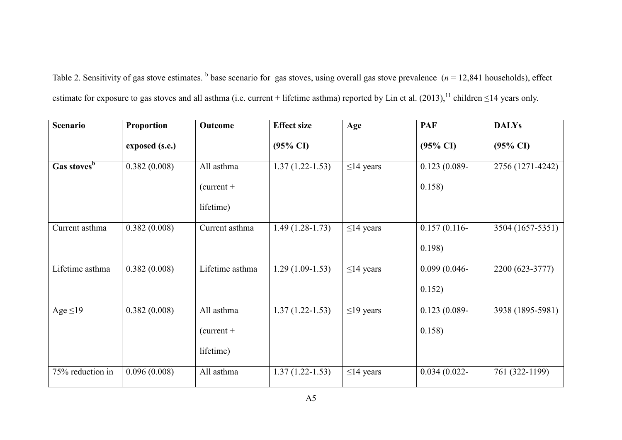Table 2. Sensitivity of gas stove estimates. <sup>b</sup> base scenario for gas stoves, using overall gas stove prevalence (*n* = 12,841 households), effect estimate for exposure to gas stoves and all asthma (i.e. current + lifetime asthma) reported by Lin et al.  $(2013)$ ,<sup>11</sup> children  $\leq$ 14 years only.

| <b>Scenario</b>         | Proportion     | Outcome         | <b>Effect size</b>  | Age             | <b>PAF</b>          | <b>DALYs</b>        |
|-------------------------|----------------|-----------------|---------------------|-----------------|---------------------|---------------------|
|                         | exposed (s.e.) |                 | $(95\% \text{ CI})$ |                 | $(95\% \text{ CI})$ | $(95\% \text{ CI})$ |
| Gas stoves <sup>b</sup> | 0.382(0.008)   | All asthma      | $1.37(1.22 - 1.53)$ | $\leq$ 14 years | $0.123(0.089 -$     | 2756 (1271-4242)    |
|                         |                | $current +$     |                     |                 | 0.158)              |                     |
|                         |                | lifetime)       |                     |                 |                     |                     |
| Current asthma          | 0.382(0.008)   | Current asthma  | $1.49(1.28-1.73)$   | $\leq$ 14 years | $0.157(0.116 -$     | 3504 (1657-5351)    |
|                         |                |                 |                     |                 | 0.198)              |                     |
| Lifetime asthma         | 0.382(0.008)   | Lifetime asthma | $1.29(1.09-1.53)$   | $\leq$ 14 years | $0.099(0.046 -$     | 2200 (623-3777)     |
|                         |                |                 |                     |                 | 0.152)              |                     |
| Age $\leq$ 19           | 0.382(0.008)   | All asthma      | $1.37(1.22 - 1.53)$ | $\leq$ 19 years | $0.123(0.089 -$     | 3938 (1895-5981)    |
|                         |                | $current +$     |                     |                 | 0.158)              |                     |
|                         |                | lifetime)       |                     |                 |                     |                     |
| 75% reduction in        | 0.096(0.008)   | All asthma      | $1.37(1.22 - 1.53)$ | $\leq$ 14 years | $0.034(0.022 -$     | 761 (322-1199)      |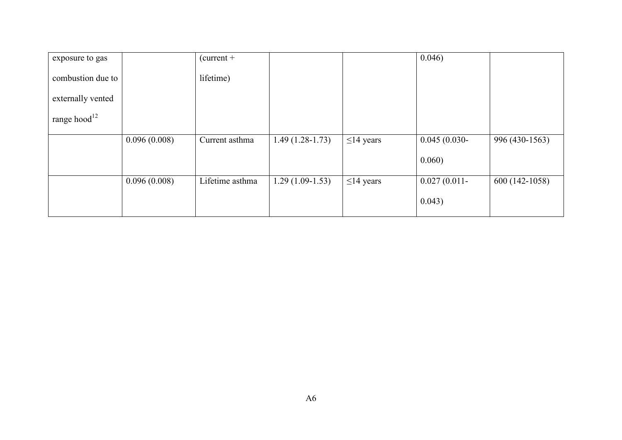| exposure to gas    |              | $current +$     |                   |                 | 0.046)          |                |
|--------------------|--------------|-----------------|-------------------|-----------------|-----------------|----------------|
| combustion due to  |              | lifetime)       |                   |                 |                 |                |
| externally vented  |              |                 |                   |                 |                 |                |
| range hood $^{12}$ |              |                 |                   |                 |                 |                |
|                    | 0.096(0.008) | Current asthma  | $1.49(1.28-1.73)$ | $\leq$ 14 years | $0.045(0.030-$  | 996 (430-1563) |
|                    |              |                 |                   |                 | 0.060)          |                |
|                    | 0.096(0.008) | Lifetime asthma | $1.29(1.09-1.53)$ | $\leq$ 14 years | $0.027(0.011 -$ | 600 (142-1058) |
|                    |              |                 |                   |                 | 0.043)          |                |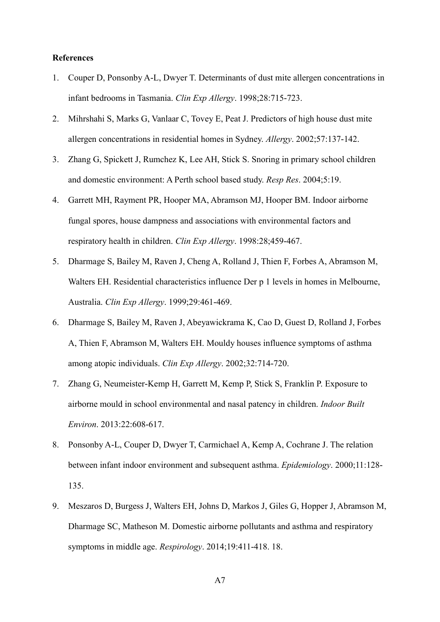## **References**

- 1. Couper D, Ponsonby A-L, Dwyer T. Determinants of dust mite allergen concentrations in infant bedrooms in Tasmania. *Clin Exp Allergy*. 1998;28:715-723.
- 2. Mihrshahi S, Marks G, Vanlaar C, Tovey E, Peat J. Predictors of high house dust mite allergen concentrations in residential homes in Sydney. *Allergy*. 2002;57:137-142.
- 3. Zhang G, Spickett J, Rumchez K, Lee AH, Stick S. Snoring in primary school children and domestic environment: A Perth school based study. *Resp Res*. 2004;5:19.
- 4. Garrett MH, Rayment PR, Hooper MA, Abramson MJ, Hooper BM. Indoor airborne fungal spores, house dampness and associations with environmental factors and respiratory health in children. *Clin Exp Allergy*. 1998:28;459-467.
- 5. Dharmage S, Bailey M, Raven J, Cheng A, Rolland J, Thien F, Forbes A, Abramson M, Walters EH. Residential characteristics influence Der p 1 levels in homes in Melbourne, Australia. *Clin Exp Allergy*. 1999;29:461-469.
- 6. Dharmage S, Bailey M, Raven J, Abeyawickrama K, Cao D, Guest D, Rolland J, Forbes A, Thien F, Abramson M, Walters EH. Mouldy houses influence symptoms of asthma among atopic individuals. *Clin Exp Allergy*. 2002;32:714-720.
- 7. Zhang G, Neumeister-Kemp H, Garrett M, Kemp P, Stick S, Franklin P. Exposure to airborne mould in school environmental and nasal patency in children. *Indoor Built Environ*. 2013:22:608-617.
- 8. Ponsonby A-L, Couper D, Dwyer T, Carmichael A, Kemp A, Cochrane J. The relation between infant indoor environment and subsequent asthma. *Epidemiology*. 2000;11:128- 135.
- 9. Meszaros D, Burgess J, Walters EH, Johns D, Markos J, Giles G, Hopper J, Abramson M, Dharmage SC, Matheson M. Domestic airborne pollutants and asthma and respiratory symptoms in middle age. *Respirology*. 2014;19:411-418. 18.
	- A7